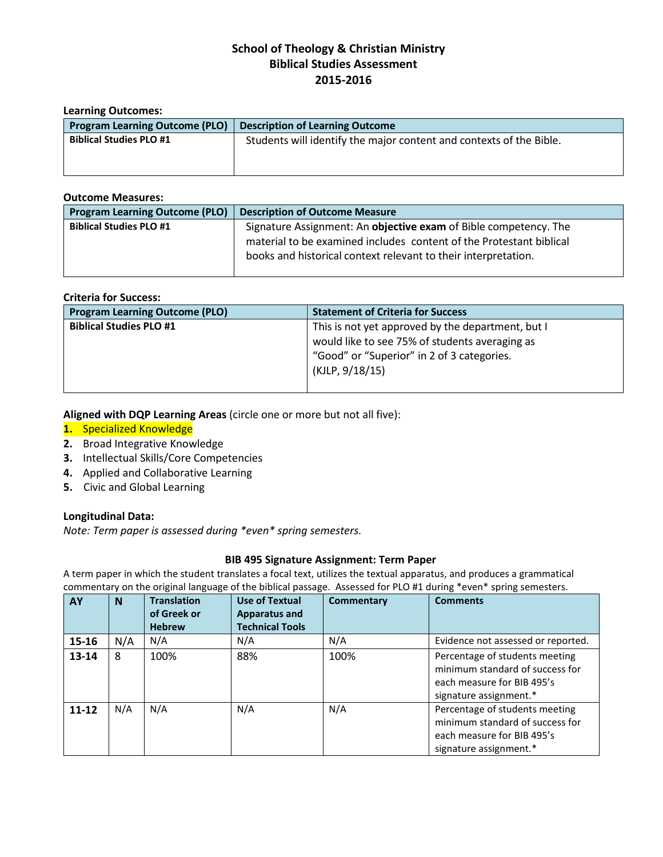# **School of Theology & Christian Ministry Biblical Studies Assessment 2015-2016**

| <b>Learning Outcomes:</b>             |                                                                     |  |  |
|---------------------------------------|---------------------------------------------------------------------|--|--|
| <b>Program Learning Outcome (PLO)</b> | <b>Description of Learning Outcome</b>                              |  |  |
| <b>Biblical Studies PLO #1</b>        | Students will identify the major content and contexts of the Bible. |  |  |
|                                       |                                                                     |  |  |

#### **Outcome Measures:**

| <b>Program Learning Outcome (PLO)</b> | <b>Description of Outcome Measure</b>                               |
|---------------------------------------|---------------------------------------------------------------------|
| <b>Biblical Studies PLO #1</b>        | Signature Assignment: An objective exam of Bible competency. The    |
|                                       | material to be examined includes content of the Protestant biblical |
|                                       | books and historical context relevant to their interpretation.      |
|                                       |                                                                     |

#### **Criteria for Success:**

| <b>Program Learning Outcome (PLO)</b> | <b>Statement of Criteria for Success</b>          |  |
|---------------------------------------|---------------------------------------------------|--|
| <b>Biblical Studies PLO #1</b>        | This is not yet approved by the department, but I |  |
|                                       | would like to see 75% of students averaging as    |  |
|                                       | "Good" or "Superior" in 2 of 3 categories.        |  |
|                                       | (KJLP, 9/18/15)                                   |  |
|                                       |                                                   |  |

## **Aligned with DQP Learning Areas** (circle one or more but not all five):

## **1.** Specialized Knowledge

- **2.** Broad Integrative Knowledge
- **3.** Intellectual Skills/Core Competencies
- **4.** Applied and Collaborative Learning
- **5.** Civic and Global Learning

## **Longitudinal Data:**

*Note: Term paper is assessed during \*even\* spring semesters.*

## **BIB 495 Signature Assignment: Term Paper**

A term paper in which the student translates a focal text, utilizes the textual apparatus, and produces a grammatical commentary on the original language of the biblical passage. Assessed for PLO #1 during \*even\* spring semesters.

| AY        | <b>N</b> | <b>Translation</b> | <b>Use of Textual</b>  | Commentary | <b>Comments</b>                                                                                                           |
|-----------|----------|--------------------|------------------------|------------|---------------------------------------------------------------------------------------------------------------------------|
|           |          | of Greek or        | <b>Apparatus and</b>   |            |                                                                                                                           |
|           |          | <b>Hebrew</b>      | <b>Technical Tools</b> |            |                                                                                                                           |
| 15-16     | N/A      | N/A                | N/A                    | N/A        | Evidence not assessed or reported.                                                                                        |
| 13-14     | 8        | 100%               | 88%                    | 100%       | Percentage of students meeting<br>minimum standard of success for<br>each measure for BIB 495's<br>signature assignment.* |
| $11 - 12$ | N/A      | N/A                | N/A                    | N/A        | Percentage of students meeting<br>minimum standard of success for<br>each measure for BIB 495's<br>signature assignment.* |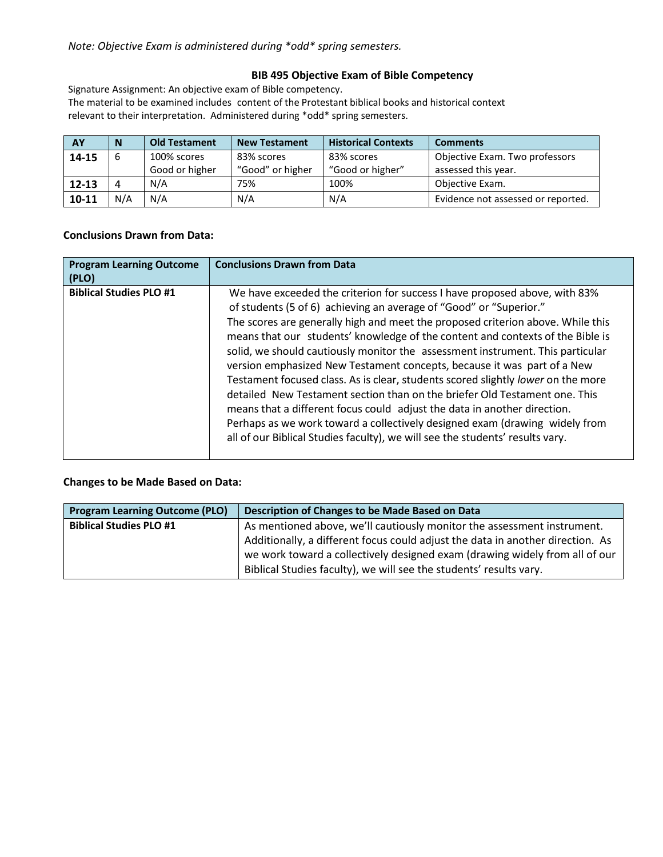## **BIB 495 Objective Exam of Bible Competency**

Signature Assignment: An objective exam of Bible competency.

The material to be examined includes content of the Protestant biblical books and historical context relevant to their interpretation. Administered during \*odd\* spring semesters.

| <b>AY</b> | N        | <b>Old Testament</b> | <b>New Testament</b> | <b>Historical Contexts</b> | <b>Comments</b>                    |
|-----------|----------|----------------------|----------------------|----------------------------|------------------------------------|
| 14-15     |          | 100% scores          | 83% scores           | 83% scores                 | Objective Exam. Two professors     |
|           |          | Good or higher       | "Good" or higher     | "Good or higher"           | assessed this year.                |
| $12 - 13$ | $\Delta$ | N/A                  | 75%                  | 100%                       | Objective Exam.                    |
| $10 - 11$ | N/A      | N/A                  | N/A                  | N/A                        | Evidence not assessed or reported. |

#### **Conclusions Drawn from Data:**

| <b>Program Learning Outcome</b><br>(PLO) | <b>Conclusions Drawn from Data</b>                                                                                                                                                                                                                                                                                                                                                                                                                                                                                                                                                                                                                                                                                                                                                                                                                                                               |
|------------------------------------------|--------------------------------------------------------------------------------------------------------------------------------------------------------------------------------------------------------------------------------------------------------------------------------------------------------------------------------------------------------------------------------------------------------------------------------------------------------------------------------------------------------------------------------------------------------------------------------------------------------------------------------------------------------------------------------------------------------------------------------------------------------------------------------------------------------------------------------------------------------------------------------------------------|
| <b>Biblical Studies PLO #1</b>           | We have exceeded the criterion for success I have proposed above, with 83%<br>of students (5 of 6) achieving an average of "Good" or "Superior."<br>The scores are generally high and meet the proposed criterion above. While this<br>means that our students' knowledge of the content and contexts of the Bible is<br>solid, we should cautiously monitor the assessment instrument. This particular<br>version emphasized New Testament concepts, because it was part of a New<br>Testament focused class. As is clear, students scored slightly lower on the more<br>detailed New Testament section than on the briefer Old Testament one. This<br>means that a different focus could adjust the data in another direction.<br>Perhaps as we work toward a collectively designed exam (drawing widely from<br>all of our Biblical Studies faculty), we will see the students' results vary. |

## **Changes to be Made Based on Data:**

| <b>Program Learning Outcome (PLO)</b> | Description of Changes to be Made Based on Data                                                                                                               |
|---------------------------------------|---------------------------------------------------------------------------------------------------------------------------------------------------------------|
| <b>Biblical Studies PLO #1</b>        | As mentioned above, we'll cautiously monitor the assessment instrument.                                                                                       |
|                                       | Additionally, a different focus could adjust the data in another direction. As<br>we work toward a collectively designed exam (drawing widely from all of our |
|                                       | Biblical Studies faculty), we will see the students' results vary.                                                                                            |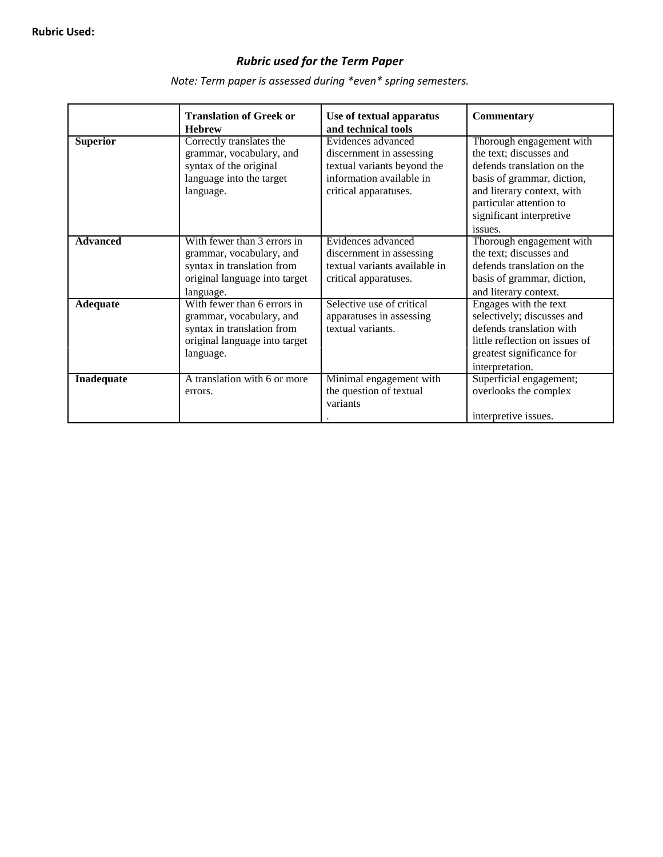## *Rubric used for the Term Paper*

**Translation of Greek or Use of textual apparatus Commentary Hebrew and technical tools**<br> **Correctly translates the Evidences advanced Superior** Correctly translates the Evidences advanced Thorough engagement with grammar, vocabulary, and discernment in assessing the text; discusses and grammar, vocabulary, and discernment in assessing syntax of the original textual variants beyond the defends translation on the language into the target information available in basis of grammar, diction, language into the target information available in basis of grammar, diction, and literary context, with and literary context, with particular attention to significant interpretive issues. **Advanced** With fewer than 3 errors in Evidences advanced Thorough engagement with grammar, vocabulary, and discernment in assessing the text; discusses and syntax in translation from  $\left\{ \begin{array}{c} \end{array} \right.$  textual variants available in defends translation on the original language into target critical apparatuses. basis of grammar, diction, language. and literary context.<br>
With fewer than 6 errors in Selective use of critical Engages with the text Adequate<br>
With fewer than 6 errors in<br>
grammar, vocabulary, and<br>
grammar, vocabulary, and<br>
grammar, vocabulary, and<br>
grammar, vocabulary, and<br>
grammar, vocabulary, and<br>
grammar, vocabulary, and<br>
grammar,  $\frac{1}{2}$  and<br>
gra grammar, vocabulary, and apparatuses in assessing selectively; discusses and syntax in translation from textual variants. syntax in translation from textual variants.<br>
original language into target the structure original language into target original language into target language.  $\qquad \qquad$  |  $\qquad \qquad$  |  $\qquad \qquad$  | greatest significance for interpretation. **Inadequate** A translation with 6 or more Minimal engagement with Superficial engagement; errors. the question of textual overlooks the complex variants . interpretive issues.

*Note: Term paper is assessed during \*even\* spring semesters.*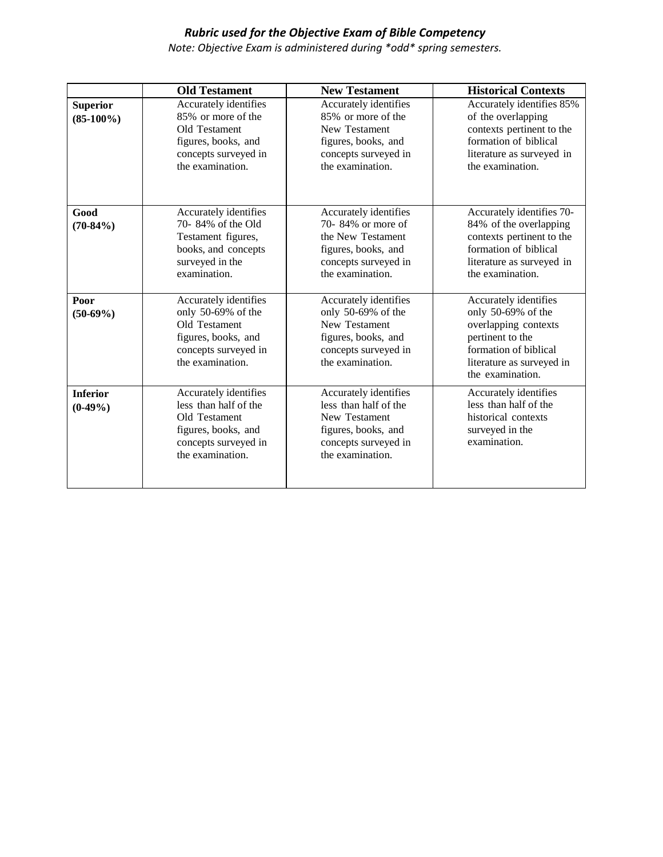## *Rubric used for the Objective Exam of Bible Competency*

*Note: Objective Exam is administered during \*odd\* spring semesters.*

|                                 | <b>Old Testament</b>                                                                                                               | <b>New Testament</b>                                                                                                                      | <b>Historical Contexts</b>                                                                                                                                        |
|---------------------------------|------------------------------------------------------------------------------------------------------------------------------------|-------------------------------------------------------------------------------------------------------------------------------------------|-------------------------------------------------------------------------------------------------------------------------------------------------------------------|
| <b>Superior</b><br>$(85-100\%)$ | Accurately identifies<br>85% or more of the<br>Old Testament<br>figures, books, and<br>concepts surveyed in<br>the examination.    | Accurately identifies<br>85% or more of the<br>New Testament<br>figures, books, and<br>concepts surveyed in<br>the examination.           | Accurately identifies 85%<br>of the overlapping<br>contexts pertinent to the<br>formation of biblical<br>literature as surveyed in<br>the examination.            |
| Good<br>$(70-84%)$              | Accurately identifies<br>70-84% of the Old<br>Testament figures,<br>books, and concepts<br>surveyed in the<br>examination.         | Accurately identifies<br>70-84% or more of<br>the New Testament<br>figures, books, and<br>concepts surveyed in<br>the examination.        | Accurately identifies 70-<br>84% of the overlapping<br>contexts pertinent to the<br>formation of biblical<br>literature as surveyed in<br>the examination.        |
| Poor<br>$(50-69%)$              | Accurately identifies<br>only 50-69% of the<br>Old Testament<br>figures, books, and<br>concepts surveyed in<br>the examination.    | Accurately identifies<br>only 50-69% of the<br><b>New Testament</b><br>figures, books, and<br>concepts surveyed in<br>the examination.    | Accurately identifies<br>only 50-69% of the<br>overlapping contexts<br>pertinent to the<br>formation of biblical<br>literature as surveyed in<br>the examination. |
| <b>Inferior</b><br>$(0-49%)$    | Accurately identifies<br>less than half of the<br>Old Testament<br>figures, books, and<br>concepts surveyed in<br>the examination. | Accurately identifies<br>less than half of the<br><b>New Testament</b><br>figures, books, and<br>concepts surveyed in<br>the examination. | Accurately identifies<br>less than half of the<br>historical contexts<br>surveyed in the<br>examination.                                                          |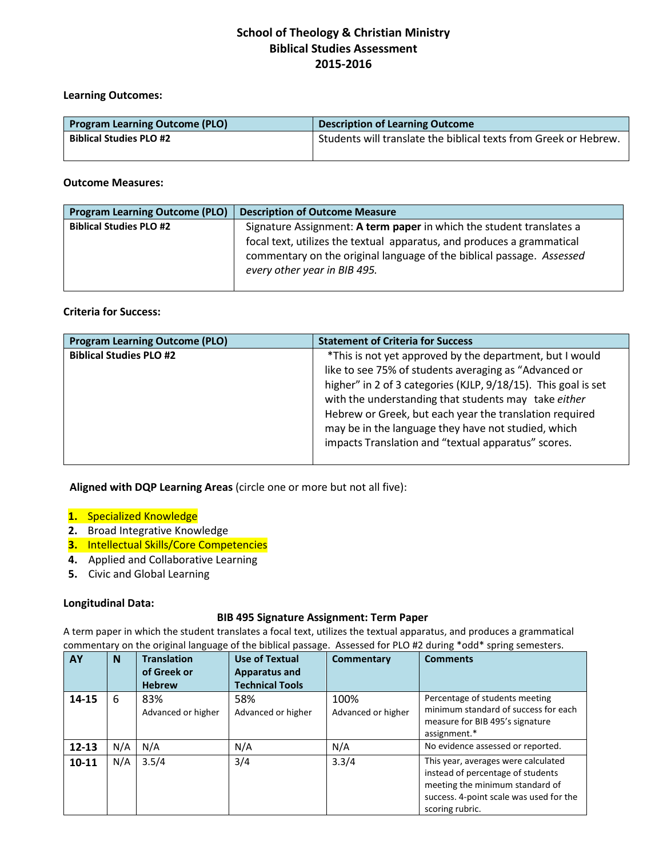# **School of Theology & Christian Ministry Biblical Studies Assessment 2015-2016**

#### **Learning Outcomes:**

| <b>Program Learning Outcome (PLO)</b> | <b>Description of Learning Outcome</b>                           |  |
|---------------------------------------|------------------------------------------------------------------|--|
| <b>Biblical Studies PLO #2</b>        | Students will translate the biblical texts from Greek or Hebrew. |  |
|                                       |                                                                  |  |

#### **Outcome Measures:**

| <b>Program Learning Outcome (PLO)</b> | <b>Description of Outcome Measure</b>                                                                                                          |
|---------------------------------------|------------------------------------------------------------------------------------------------------------------------------------------------|
| <b>Biblical Studies PLO #2</b>        | Signature Assignment: A term paper in which the student translates a<br>focal text, utilizes the textual apparatus, and produces a grammatical |
|                                       | commentary on the original language of the biblical passage. Assessed<br>every other year in BIB 495.                                          |

## **Criteria for Success:**

| <b>Biblical Studies PLO #2</b><br>*This is not yet approved by the department, but I would<br>like to see 75% of students averaging as "Advanced or                                                                                                                                             | <b>Program Learning Outcome (PLO)</b> | <b>Statement of Criteria for Success</b> |
|-------------------------------------------------------------------------------------------------------------------------------------------------------------------------------------------------------------------------------------------------------------------------------------------------|---------------------------------------|------------------------------------------|
| higher" in 2 of 3 categories (KJLP, 9/18/15). This goal is set<br>with the understanding that students may take either<br>Hebrew or Greek, but each year the translation required<br>may be in the language they have not studied, which<br>impacts Translation and "textual apparatus" scores. |                                       |                                          |

 **Aligned with DQP Learning Areas** (circle one or more but not all five):

- **1.** Specialized Knowledge
- **2.** Broad Integrative Knowledge
- **3.** Intellectual Skills/Core Competencies
- **4.** Applied and Collaborative Learning
- **5.** Civic and Global Learning

## **Longitudinal Data:**

#### **BIB 495 Signature Assignment: Term Paper**

A term paper in which the student translates a focal text, utilizes the textual apparatus, and produces a grammatical commentary on the original language of the biblical passage. Assessed for PLO #2 during \*odd\* spring semesters.

| AY        | N   | <b>Translation</b><br>of Greek or | <b>Use of Textual</b><br>Apparatus and | Commentary                 | <b>Comments</b>                                                                                                                                                           |
|-----------|-----|-----------------------------------|----------------------------------------|----------------------------|---------------------------------------------------------------------------------------------------------------------------------------------------------------------------|
|           |     | <b>Hebrew</b>                     | <b>Technical Tools</b>                 |                            |                                                                                                                                                                           |
| 14-15     | 6   | 83%<br>Advanced or higher         | 58%<br>Advanced or higher              | 100%<br>Advanced or higher | Percentage of students meeting<br>minimum standard of success for each<br>measure for BIB 495's signature<br>assignment.*                                                 |
| $12 - 13$ | N/A | N/A                               | N/A                                    | N/A                        | No evidence assessed or reported.                                                                                                                                         |
| $10 - 11$ | N/A | 3.5/4                             | 3/4                                    | 3.3/4                      | This year, averages were calculated<br>instead of percentage of students<br>meeting the minimum standard of<br>success. 4-point scale was used for the<br>scoring rubric. |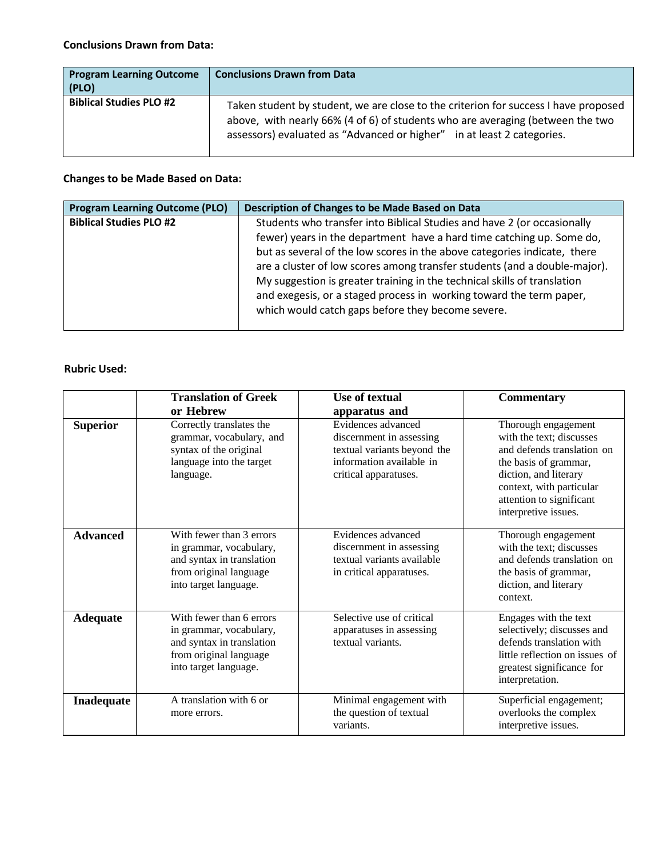| <b>Program Learning Outcome</b><br>(PLO) | <b>Conclusions Drawn from Data</b>                                                                                                                                                                                                              |
|------------------------------------------|-------------------------------------------------------------------------------------------------------------------------------------------------------------------------------------------------------------------------------------------------|
| <b>Biblical Studies PLO #2</b>           | Taken student by student, we are close to the criterion for success I have proposed<br>above, with nearly 66% (4 of 6) of students who are averaging (between the two<br>assessors) evaluated as "Advanced or higher" in at least 2 categories. |

## **Changes to be Made Based on Data:**

| <b>Program Learning Outcome (PLO)</b><br>Description of Changes to be Made Based on Data                                                                                                                                                                                                                                                                                                                                                                                                                                                            |  |
|-----------------------------------------------------------------------------------------------------------------------------------------------------------------------------------------------------------------------------------------------------------------------------------------------------------------------------------------------------------------------------------------------------------------------------------------------------------------------------------------------------------------------------------------------------|--|
| <b>Biblical Studies PLO #2</b><br>Students who transfer into Biblical Studies and have 2 (or occasionally<br>fewer) years in the department have a hard time catching up. Some do,<br>but as several of the low scores in the above categories indicate, there<br>are a cluster of low scores among transfer students (and a double-major).<br>My suggestion is greater training in the technical skills of translation<br>and exegesis, or a staged process in working toward the term paper,<br>which would catch gaps before they become severe. |  |

## **Rubric Used:**

|                 | <b>Translation of Greek</b>                                                                                                         | <b>Use of textual</b>                                                                                                              | <b>Commentary</b>                                                                                                                                                                                               |
|-----------------|-------------------------------------------------------------------------------------------------------------------------------------|------------------------------------------------------------------------------------------------------------------------------------|-----------------------------------------------------------------------------------------------------------------------------------------------------------------------------------------------------------------|
|                 | or Hebrew                                                                                                                           | apparatus and                                                                                                                      |                                                                                                                                                                                                                 |
| <b>Superior</b> | Correctly translates the<br>grammar, vocabulary, and<br>syntax of the original<br>language into the target<br>language.             | Evidences advanced<br>discernment in assessing<br>textual variants beyond the<br>information available in<br>critical apparatuses. | Thorough engagement<br>with the text; discusses<br>and defends translation on<br>the basis of grammar,<br>diction, and literary<br>context, with particular<br>attention to significant<br>interpretive issues. |
| <b>Advanced</b> | With fewer than 3 errors<br>in grammar, vocabulary,<br>and syntax in translation<br>from original language<br>into target language. | Evidences advanced<br>discernment in assessing<br>textual variants available<br>in critical apparatuses.                           | Thorough engagement<br>with the text; discusses<br>and defends translation on<br>the basis of grammar,<br>diction, and literary<br>context.                                                                     |
| <b>Adequate</b> | With fewer than 6 errors<br>in grammar, vocabulary,<br>and syntax in translation<br>from original language<br>into target language. | Selective use of critical<br>apparatuses in assessing<br>textual variants.                                                         | Engages with the text<br>selectively; discusses and<br>defends translation with<br>little reflection on issues of<br>greatest significance for<br>interpretation.                                               |
| Inadequate      | A translation with 6 or<br>more errors.                                                                                             | Minimal engagement with<br>the question of textual<br>variants.                                                                    | Superficial engagement;<br>overlooks the complex<br>interpretive issues.                                                                                                                                        |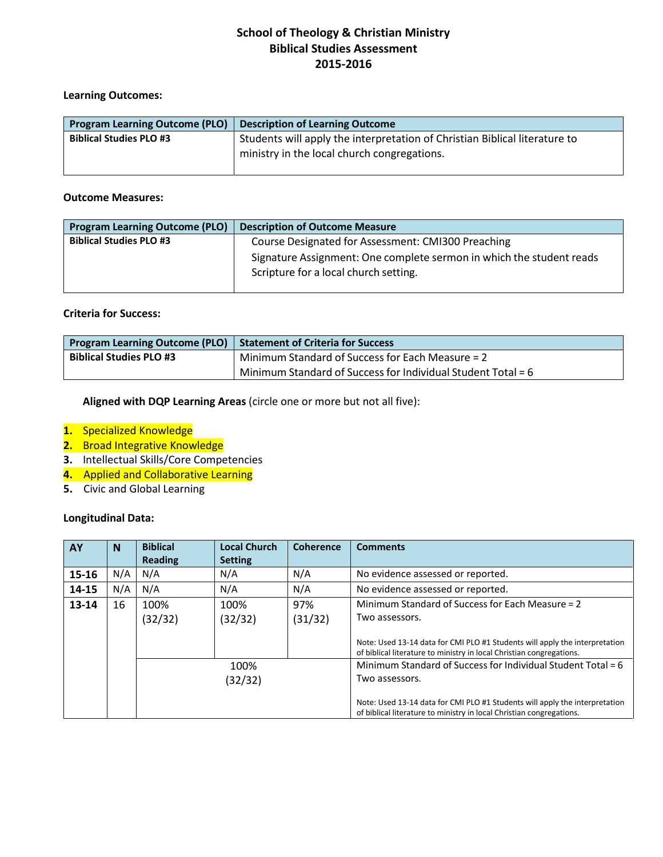# **School of Theology & Christian Ministry Biblical Studies Assessment 2015-2016**

#### **Learning Outcomes:**

| <b>Program Learning Outcome (PLO)</b> | <b>Description of Learning Outcome</b>                                                                                    |  |  |
|---------------------------------------|---------------------------------------------------------------------------------------------------------------------------|--|--|
| <b>Biblical Studies PLO #3</b>        | Students will apply the interpretation of Christian Biblical literature to<br>ministry in the local church congregations. |  |  |

#### **Outcome Measures:**

| <b>Program Learning Outcome (PLO)</b> | <b>Description of Outcome Measure</b>                                                                         |
|---------------------------------------|---------------------------------------------------------------------------------------------------------------|
| <b>Biblical Studies PLO #3</b>        | Course Designated for Assessment: CMI300 Preaching                                                            |
|                                       | Signature Assignment: One complete sermon in which the student reads<br>Scripture for a local church setting. |

#### **Criteria for Success:**

| <b>Program Learning Outcome (PLO)</b> Statement of Criteria for Success |                                                                |
|-------------------------------------------------------------------------|----------------------------------------------------------------|
| <b>Biblical Studies PLO #3</b>                                          | Minimum Standard of Success for Each Measure = 2               |
|                                                                         | Minimum Standard of Success for Individual Student Total = $6$ |

**Aligned with DQP Learning Areas** (circle one or more but not all five):

- **1.** Specialized Knowledge
- **2.** Broad Integrative Knowledge
- **3.** Intellectual Skills/Core Competencies
- **4.** Applied and Collaborative Learning
- **5.** Civic and Global Learning

## **Longitudinal Data:**

| AY    | N   | <b>Biblical</b> | <b>Local Church</b> | <b>Coherence</b> | <b>Comments</b>                                                                                                                                     |
|-------|-----|-----------------|---------------------|------------------|-----------------------------------------------------------------------------------------------------------------------------------------------------|
|       |     | <b>Reading</b>  | <b>Setting</b>      |                  |                                                                                                                                                     |
| 15-16 | N/A | N/A             | N/A                 | N/A              | No evidence assessed or reported.                                                                                                                   |
| 14-15 | N/A | N/A             | N/A                 | N/A              | No evidence assessed or reported.                                                                                                                   |
| 13-14 | 16  | 100%            | 100%                | 97%              | Minimum Standard of Success for Each Measure = 2                                                                                                    |
|       |     | (32/32)         | (32/32)             | (31/32)          | Two assessors.                                                                                                                                      |
|       |     |                 |                     |                  | Note: Used 13-14 data for CMI PLO #1 Students will apply the interpretation<br>of biblical literature to ministry in local Christian congregations. |
|       |     | 100%<br>(32/32) |                     |                  | Minimum Standard of Success for Individual Student Total = $6$                                                                                      |
|       |     |                 |                     |                  | Two assessors.                                                                                                                                      |
|       |     |                 |                     |                  | Note: Used 13-14 data for CMI PLO #1 Students will apply the interpretation<br>of biblical literature to ministry in local Christian congregations. |